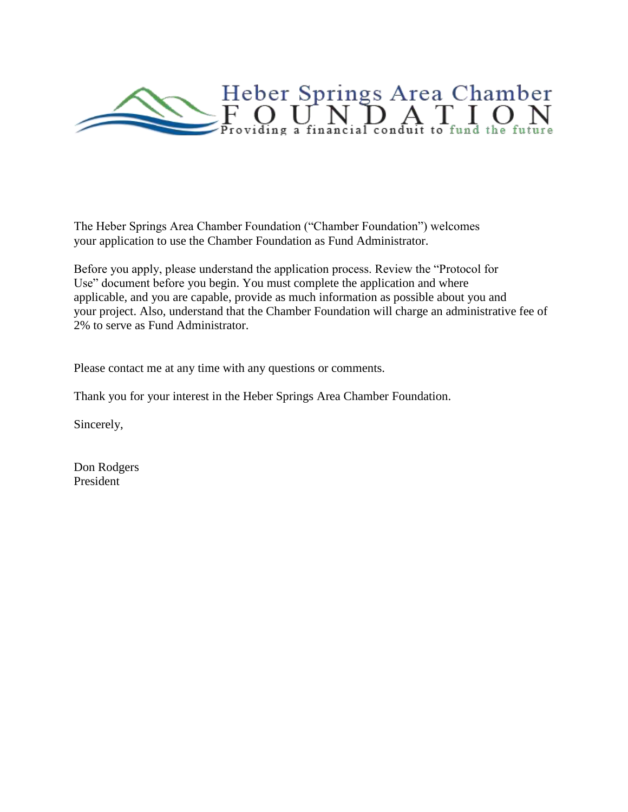

The Heber Springs Area Chamber Foundation ("Chamber Foundation") welcomes your application to use the Chamber Foundation as Fund Administrator.

Before you apply, please understand the application process. Review the "Protocol for Use" document before you begin. You must complete the application and where applicable, and you are capable, provide as much information as possible about you and your project. Also, understand that the Chamber Foundation will charge an administrative fee of 2% to serve as Fund Administrator.

Please contact me at any time with any questions or comments.

Thank you for your interest in the Heber Springs Area Chamber Foundation.

Sincerely,

Don Rodgers President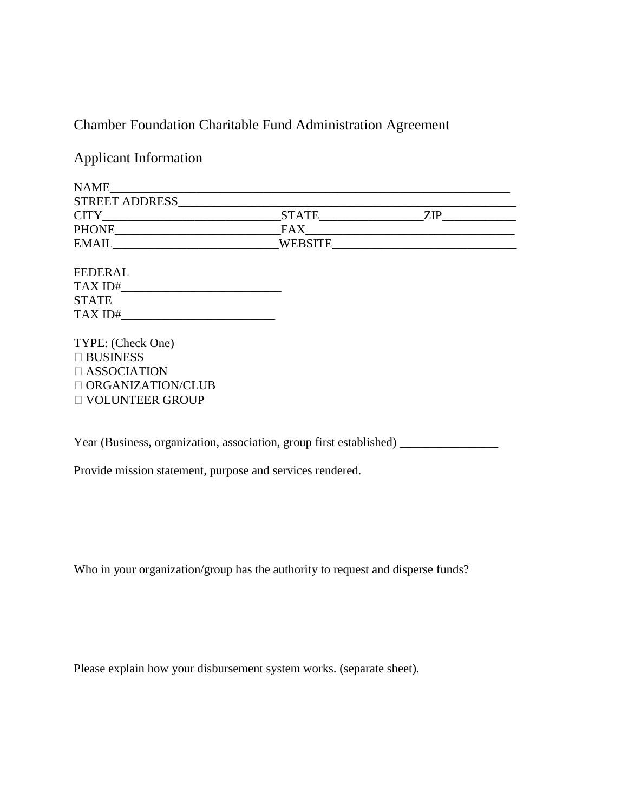# Chamber Foundation Charitable Fund Administration Agreement

Applicant Information

| <b>NAME</b>           |                |      |
|-----------------------|----------------|------|
| <b>STREET ADDRESS</b> |                |      |
| <b>CITY</b>           | <b>STATE</b>   | 7JP. |
| <b>PHONE</b>          | FAX            |      |
| <b>EMAIL</b>          | <b>WEBSITE</b> |      |
|                       |                |      |

FEDERAL TAX ID#\_\_\_\_\_\_\_\_\_\_\_\_\_\_\_\_\_\_\_\_\_\_\_\_\_\_ STATE TAX ID#\_\_\_\_\_\_\_\_\_\_\_\_\_\_\_\_\_\_\_\_\_\_\_\_\_

TYPE: (Check One) □ BUSINESS ASSOCIATION  $\Box$  ORGANIZATION/CLUB VOLUNTEER GROUP

Year (Business, organization, association, group first established)

Provide mission statement, purpose and services rendered.

Who in your organization/group has the authority to request and disperse funds?

Please explain how your disbursement system works. (separate sheet).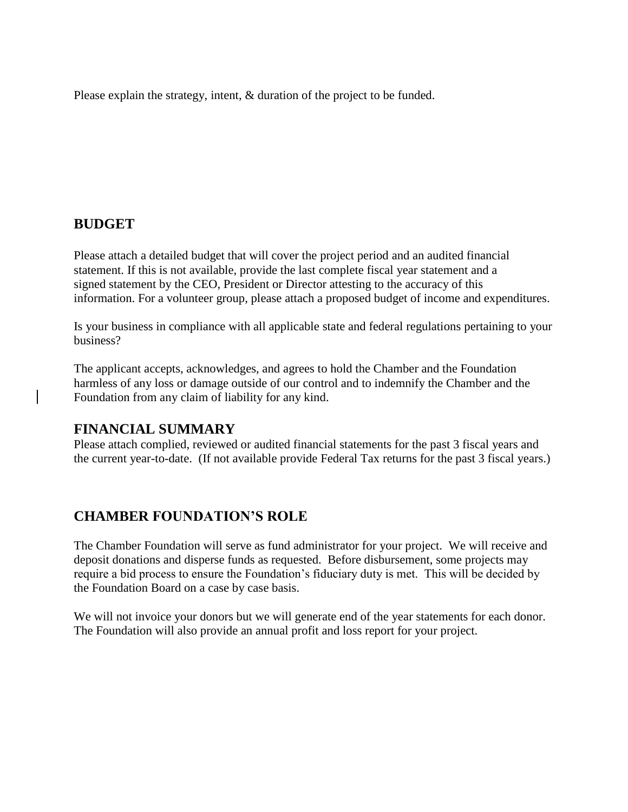Please explain the strategy, intent, & duration of the project to be funded.

### **BUDGET**

Please attach a detailed budget that will cover the project period and an audited financial statement. If this is not available, provide the last complete fiscal year statement and a signed statement by the CEO, President or Director attesting to the accuracy of this information. For a volunteer group, please attach a proposed budget of income and expenditures.

Is your business in compliance with all applicable state and federal regulations pertaining to your business?

The applicant accepts, acknowledges, and agrees to hold the Chamber and the Foundation harmless of any loss or damage outside of our control and to indemnify the Chamber and the Foundation from any claim of liability for any kind.

### **FINANCIAL SUMMARY**

Please attach complied, reviewed or audited financial statements for the past 3 fiscal years and the current year-to-date. (If not available provide Federal Tax returns for the past 3 fiscal years.)

## **CHAMBER FOUNDATION'S ROLE**

The Chamber Foundation will serve as fund administrator for your project. We will receive and deposit donations and disperse funds as requested. Before disbursement, some projects may require a bid process to ensure the Foundation's fiduciary duty is met. This will be decided by the Foundation Board on a case by case basis.

We will not invoice your donors but we will generate end of the year statements for each donor. The Foundation will also provide an annual profit and loss report for your project.